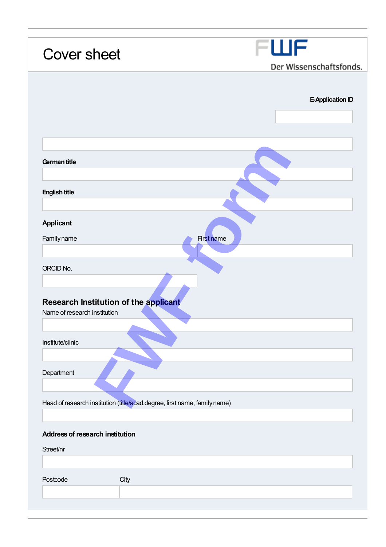| <b>Cover sheet</b>                                                           | FWF<br>Der Wissenschaftsfonds. |
|------------------------------------------------------------------------------|--------------------------------|
|                                                                              |                                |
|                                                                              | <b>E-Application ID</b>        |
|                                                                              |                                |
| German title                                                                 |                                |
| <b>English title</b>                                                         |                                |
|                                                                              |                                |
| <b>Applicant</b><br>Familyname                                               | First name                     |
|                                                                              |                                |
| ORCID No.                                                                    |                                |
| <b>Research Institution of the applicant</b><br>Name of research institution |                                |
| Institute/clinic                                                             |                                |
|                                                                              |                                |
| Department                                                                   |                                |
| Head of research institution (title/acad.degree, first name, family name)    |                                |
|                                                                              |                                |
| <b>Address of research institution</b><br>Street/nr                          |                                |
|                                                                              |                                |
| Postcode<br>City                                                             |                                |
|                                                                              |                                |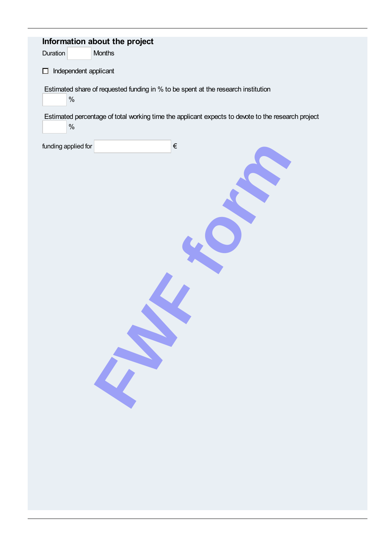| Information about the project<br>Months<br>Duration                                                        |
|------------------------------------------------------------------------------------------------------------|
| Independent applicant<br>$\Box$                                                                            |
| Estimated share of requested funding in % to be spent at the research institution<br>$\%$                  |
| Estimated percentage of total working time the applicant expects to devote to the research project<br>$\%$ |
| $\in$<br>funding applied for                                                                               |
|                                                                                                            |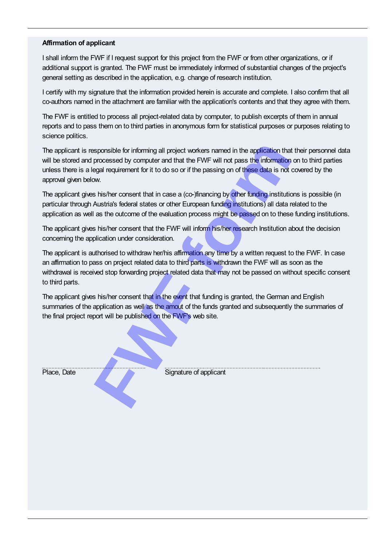## Affirmation of applicant

I shall inform the FWF if I request support for this project from the FWF or from other organizations, or if additional support is granted. The FWF must be immediately informed of substantial changes of the project's general setting as described in the application, e.g. change of research institution.

I certify with my signature that the information provided herein is accurate and complete. I also confirm that all co-authors named in the attachment are familiar with the application's contents and that they agree with them.

The FWF is entitled to process all project-related data by computer, to publish excerpts of them in annual reports and to pass them on to third parties in anonymous form for statistical purposes or purposes relating to science politics.

The applicant is responsible for informing all project workers named in the application that their personnel data will be stored and processed by computer and that the FWF will not pass the information on to third parties unless there is a legal requirement for it to do so or if the passing on of these data is not covered by the approval given below. **Franchise Sponsible for informing all project workers named in the application that processed by computer and that the FWF will not pass the information equal requirement for it to do so or if the passing on of these data** 

The applicant gives his/her consent that in case a (co-)financing by other funding institutions is possible (in particular through Austria's federal states or other European funding institutions) all data related to the application as well as the outcome of the evaluation process might be passed on to these funding institutions.

The applicant gives his/her consent that the FWF will inform his/her research Institution about the decision concerning the application under consideration.

The applicant is authorised to withdraw her/his affirmation any time by a written request to the FWF. In case an affirmation to pass on project related data to third parts is withdrawn the FWF will as soon as the withdrawal is received stop forwarding project related data that may not be passed on without specific consent to third parts.

The applicant gives his/her consent that in the event that funding is granted, the German and English summaries of the application as well as the amout of the funds granted and subsequently the summaries of the final project report will be published on the FWF's web site.

Place, Date Signature of applicant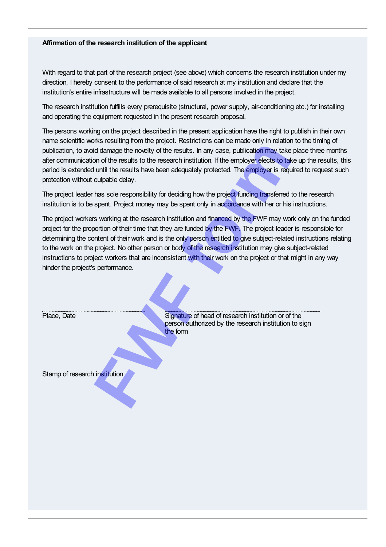# Affirmation of the research institution of the applicant

With regard to that part of the research project (see above) which concerns the research institution under my direction, I hereby consent to the performance of said research at my institution and declare that the institution's entire infrastructure will be made available to all persons involved in the project.

The research institution fulfills every prerequisite (structural, power supply, air-conditioning etc.) for installing and operating the equipment requested in the present research proposal.

The persons working on the project described in the present application have the right to publish in their own name scientific works resulting from the project. Restrictions can be made only in relation to the timing of publication, to avoid damage the novelty of the results. In any case, publication may take place three months after communication of the results to the research institution. If the employer elects to take up the results, this period is extended until the results have been adequately protected. The employer is required to request such protection without culpable delay.

The project workers working at the research institution and financed by the FWF may work only on the funded project for the proportion of their time that they are funded by the FWF. The project leader is responsible for determining the content of their work and is the only person entitled to give subject-related instructions relating to the work on the project. No other person or body of the research institution may give subject-related instructions to project workers that are inconsistent with their work on the project or that might in any way hinder the project's performance.

| publication, to avoid damage the novelty of the results. In any case, publication may take place three<br>after communication of the results to the research institution. If the employer elects to take up the re<br>period is extended until the results have been adequately protected. The employer is required to requ<br>protection without culpable delay.                                                                                                                                                                                                                       |
|-----------------------------------------------------------------------------------------------------------------------------------------------------------------------------------------------------------------------------------------------------------------------------------------------------------------------------------------------------------------------------------------------------------------------------------------------------------------------------------------------------------------------------------------------------------------------------------------|
| The project leader has sole responsibility for deciding how the project funding transferred to the resea<br>institution is to be spent. Project money may be spent only in accordance with her or his instruction                                                                                                                                                                                                                                                                                                                                                                       |
| The project workers working at the research institution and financed by the FWF may work only on t<br>project for the proportion of their time that they are funded by the FWF. The project leader is respons<br>determining the content of their work and is the only person entitled to give subject-related instruction<br>to the work on the project. No other person or body of the research institution may give subject-relate<br>instructions to project workers that are inconsistent with their work on the project or that might in any<br>hinder the project's performance. |
| Signature of head of research institution or of the<br>Place, Date<br>person authorized by the research institution to sign<br>the form                                                                                                                                                                                                                                                                                                                                                                                                                                                 |
| Stamp of research institution                                                                                                                                                                                                                                                                                                                                                                                                                                                                                                                                                           |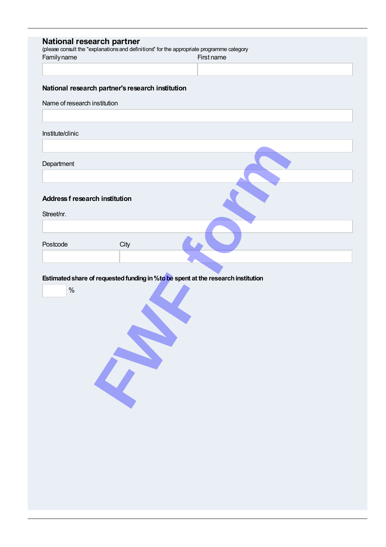|                                       |                                                  | National research partner<br>(please consult the "explanations and definitions" for the appropriate programme category |
|---------------------------------------|--------------------------------------------------|------------------------------------------------------------------------------------------------------------------------|
| Familyname                            |                                                  | First name                                                                                                             |
|                                       |                                                  |                                                                                                                        |
|                                       |                                                  |                                                                                                                        |
|                                       | National research partner's research institution |                                                                                                                        |
| Name of research institution          |                                                  |                                                                                                                        |
|                                       |                                                  |                                                                                                                        |
| Institute/clinic                      |                                                  |                                                                                                                        |
|                                       |                                                  |                                                                                                                        |
| Department                            |                                                  |                                                                                                                        |
|                                       |                                                  |                                                                                                                        |
|                                       |                                                  |                                                                                                                        |
| <b>Address f research institution</b> |                                                  |                                                                                                                        |
| Street/nr.                            |                                                  |                                                                                                                        |
|                                       |                                                  |                                                                                                                        |
|                                       |                                                  |                                                                                                                        |
| Postcode                              | City                                             |                                                                                                                        |
|                                       |                                                  |                                                                                                                        |
|                                       |                                                  |                                                                                                                        |
|                                       |                                                  | Estimated share of requested funding in % to be spent at the research institution                                      |
| $\%$                                  |                                                  |                                                                                                                        |
|                                       |                                                  |                                                                                                                        |
|                                       |                                                  |                                                                                                                        |
|                                       |                                                  |                                                                                                                        |
|                                       |                                                  |                                                                                                                        |
|                                       |                                                  |                                                                                                                        |
|                                       |                                                  |                                                                                                                        |
|                                       |                                                  |                                                                                                                        |
|                                       |                                                  |                                                                                                                        |
|                                       |                                                  |                                                                                                                        |
|                                       |                                                  |                                                                                                                        |
|                                       |                                                  |                                                                                                                        |
|                                       |                                                  |                                                                                                                        |
|                                       |                                                  |                                                                                                                        |
|                                       |                                                  |                                                                                                                        |
|                                       |                                                  |                                                                                                                        |
|                                       |                                                  |                                                                                                                        |
|                                       |                                                  |                                                                                                                        |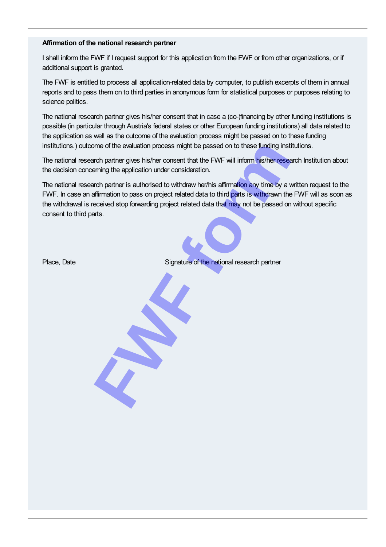## Affirmation of the national research partner

I shall inform the FWF if I request support for this application from the FWF or from other organizations, or if additional support is granted.

The FWF is entitled to process all application-related data by computer, to publish excerpts of them in annual reports and to pass them on to third parties in anonymous form for statistical purposes or purposes relating to science politics.

The national research partner gives his/her consent that in case a (co-)financing by other funding institutions is possible (in particular through Austria's federal states or other European funding institutions) all data related to the application as well as the outcome of the evaluation process might be passed on to these funding institutions.) outcome of the evaluation process might be passed on to these funding institutions.

The national research partner gives his/her consent that the FWF will inform his/her research Institution about the decision concerning the application under consideration.

The national research partner is authorised to withdraw her/his affirmation any time by a written request to the FWF. In case an affirmation to pass on project related data to third parts is withdrawn the FWF will as soon as the withdrawal is received stop forwarding project related data that may not be passed on without specific consent to third parts. ome of the evaluation process might be passed on to these funding institution partner gives his/her consent that the FWF will inform his/her researching the application under consideration.<br>
Fundamental and partner is auth

Place, Date **Signature of the national research partner**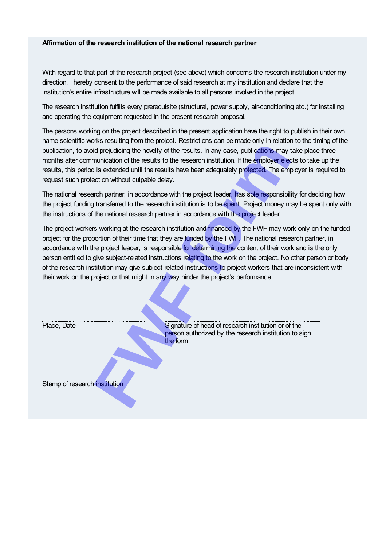## Affirmation of the research institution of the national research partner

With regard to that part of the research project (see above) which concerns the research institution under my direction, I hereby consent to the performance of said research at my institution and declare that the institution's entire infrastructure will be made available to all persons involved in the project.

The research institution fulfills every prerequisite (structural, power supply, air-conditioning etc.) for installing and operating the equipment requested in the present research proposal.

The persons working on the project described in the present application have the right to publish in their own name scientific works resulting from the project. Restrictions can be made only in relation to the timing of the publication, to avoid prejudicing the novelty of the results. In any case, publications may take place three months after communication of the results to the research institution. If the employer elects to take up the results, this period is extended until the results have been adequately protected. The employer is required to request such protection without culpable delay.

The national research partner, in accordance with the project leader, has sole responsibility for deciding how the project funding transferred to the research institution is to be spent. Project money may be spent only with the instructions of the national research partner in accordance with the project leader.

The project workers working at the research institution and financed by the FWF may work only on the funded project for the proportion of their time that they are funded by the FWF. The national research partner, in accordance with the project leader, is responsible for determining the content of their work and is the only person entitled to give subject-related instructions relating to the work on the project. No other person or body of the research institution may give subject-related instructions to project workers that are inconsistent with their work on the project or that might in any way hinder the project's performance. Friendal of the research institution of the search institution and the form<br> **FRICAL CONDUCTS** and the results in any case, publications may truntication of the results to the research institution. If the employer election

Place, Date Signature of head of research institution or of the person authorized by the research institution to sign the form

Stamp of research institution